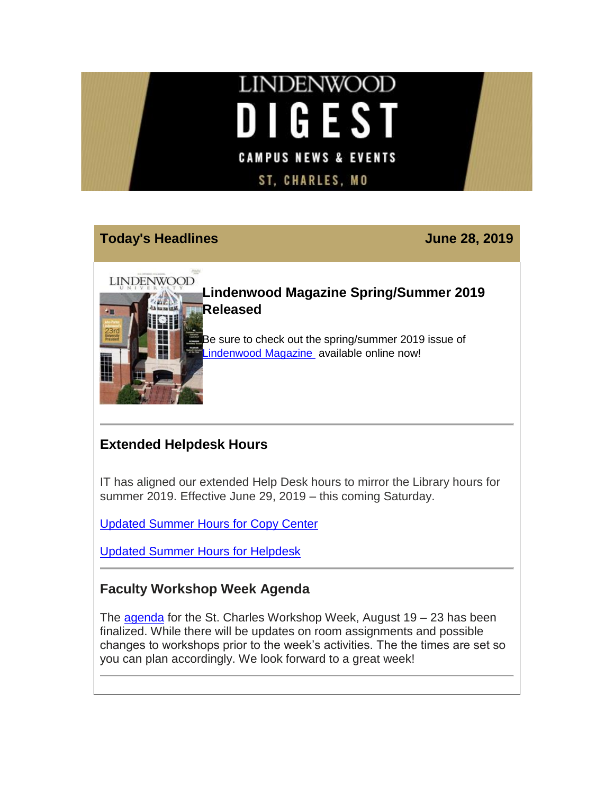# **LINDENWOOD IGEST** D **CAMPUS NEWS & EVENTS ST, CHARLES, MO**

## **Today's Headlines June 28, 2019**

**LINDENWOOD** 

**[L](https://hes32-ctp.trendmicro.com/wis/clicktime/v1/query?url=https%3a%2f%2fcustapp.marketvolt.com%2flink%2fUVX9C6VrId%3fCM%3d1355939409%26X%3d70525052&umid=8d34037d-4dc1-4826-a606-266c778ce3c9&auth=bc7ac43e330fa629f0cfb11786c85e83c10d06b8-67f1e135cb00de2dc63f4b8a228594cebe325d6c)indenwood Magazine Spring/Summer 2019 Released**

Be sure to check out the spring/summer 2019 issue of [Lindenwood Magazine](https://hes32-ctp.trendmicro.com/wis/clicktime/v1/query?url=https%3a%2f%2fcustapp.marketvolt.com%2flink%2fUVX9C6VrId%3fCM%3d1355939409%26X%3d70525052&umid=8d34037d-4dc1-4826-a606-266c778ce3c9&auth=bc7ac43e330fa629f0cfb11786c85e83c10d06b8-67f1e135cb00de2dc63f4b8a228594cebe325d6c) available online now!

# **Extended Helpdesk Hours**

IT has aligned our extended Help Desk hours to mirror the Library hours for summer 2019. Effective June 29, 2019 – this coming Saturday.

[Updated Summer Hours for Copy Center](https://hes32-ctp.trendmicro.com/wis/clicktime/v1/query?url=https%3a%2f%2fcustapp.marketvolt.com%2flink%2fo9g3guQ998%3fCM%3d1355939409%26X%3d70525052&umid=8d34037d-4dc1-4826-a606-266c778ce3c9&auth=bc7ac43e330fa629f0cfb11786c85e83c10d06b8-079cece9d0a44bdc116aa69c01c46e25da2c059c)

[Updated Summer Hours for Helpdesk](https://hes32-ctp.trendmicro.com/wis/clicktime/v1/query?url=https%3a%2f%2fcustapp.marketvolt.com%2flink%2fPEyKaPyiGm%3fCM%3d1355939409%26X%3d70525052&umid=8d34037d-4dc1-4826-a606-266c778ce3c9&auth=bc7ac43e330fa629f0cfb11786c85e83c10d06b8-1557228ee16a8c2322d1b05669a68f47dca1b762)

## **Faculty Workshop Week Agenda**

The [agenda](https://hes32-ctp.trendmicro.com/wis/clicktime/v1/query?url=https%3a%2f%2fcustapp.marketvolt.com%2flink%2feLdwIhuwDS%3fCM%3d1355939409%26X%3d70525052&umid=8d34037d-4dc1-4826-a606-266c778ce3c9&auth=bc7ac43e330fa629f0cfb11786c85e83c10d06b8-9ca423404b9ed18f212706d2dab5bc9795437ba5) for the St. Charles Workshop Week, August  $19 - 23$  has been finalized. While there will be updates on room assignments and possible changes to workshops prior to the week's activities. The the times are set so you can plan accordingly. We look forward to a great week!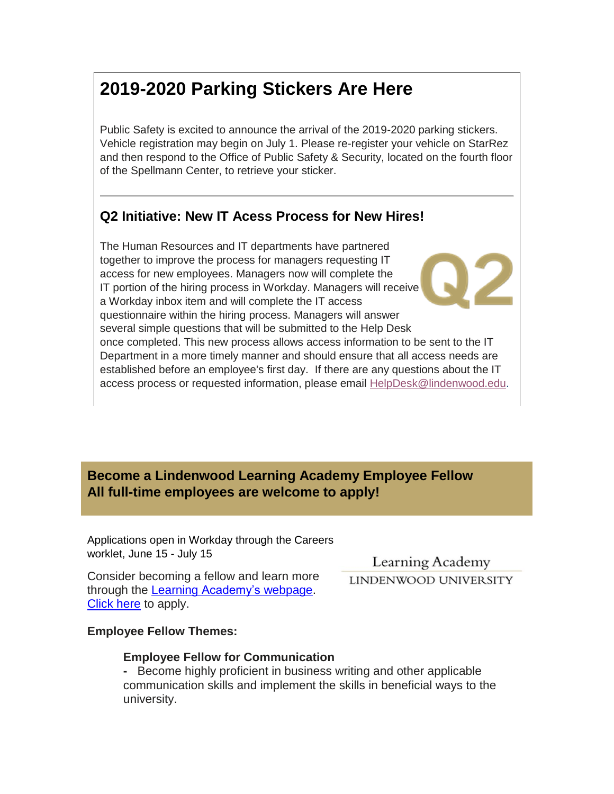# **2019-2020 Parking Stickers Are Here**

Public Safety is excited to announce the arrival of the 2019-2020 parking stickers. Vehicle registration may begin on July 1. Please re-register your vehicle on StarRez and then respond to the Office of Public Safety & Security, located on the fourth floor of the Spellmann Center, to retrieve your sticker.

## **Q2 Initiative: New IT Acess Process for New Hires!**

The Human Resources and IT departments have partnered together to improve the process for managers requesting IT access for new employees. Managers now will complete the IT portion of the hiring process in Workday. Managers will receive a Workday inbox item and will complete the IT access questionnaire within the hiring process. Managers will answer several simple questions that will be submitted to the Help Desk once completed. This new process allows access information to be sent to the IT Department in a more timely manner and should ensure that all access needs are established before an employee's first day. If there are any questions about the IT access process or requested information, please email [HelpDesk@lindenwood.edu.](mailto:HelpDesk@lindenwood.edu)

## **Become a Lindenwood Learning Academy Employee Fellow All full-time employees are welcome to apply!**

Applications open in Workday through the Careers worklet, June 15 - July 15

Consider becoming a fellow and learn more through the Learning [Academy's](https://hes32-ctp.trendmicro.com/wis/clicktime/v1/query?url=https%3a%2f%2fcustapp.marketvolt.com%2flink%2fW3fwibInLZ%3fCM%3d1355939409%26X%3d70525052&umid=8d34037d-4dc1-4826-a606-266c778ce3c9&auth=bc7ac43e330fa629f0cfb11786c85e83c10d06b8-ebb3799083cda0a36c4d907ccf819ac83b77991f) webpage. [Click here](https://hes32-ctp.trendmicro.com/wis/clicktime/v1/query?url=https%3a%2f%2fcustapp.marketvolt.com%2flink%2flVcgngnAzK%3fCM%3d1355939409%26X%3d70525052&umid=8d34037d-4dc1-4826-a606-266c778ce3c9&auth=bc7ac43e330fa629f0cfb11786c85e83c10d06b8-7169fffe0dadd136ff89f13df58dc09bc09c5a9b) to apply.

Learning Academy LINDENWOOD UNIVERSITY

**Employee Fellow Themes:**

#### **Employee Fellow for Communication**

**-** Become highly proficient in business writing and other applicable communication skills and implement the skills in beneficial ways to the university.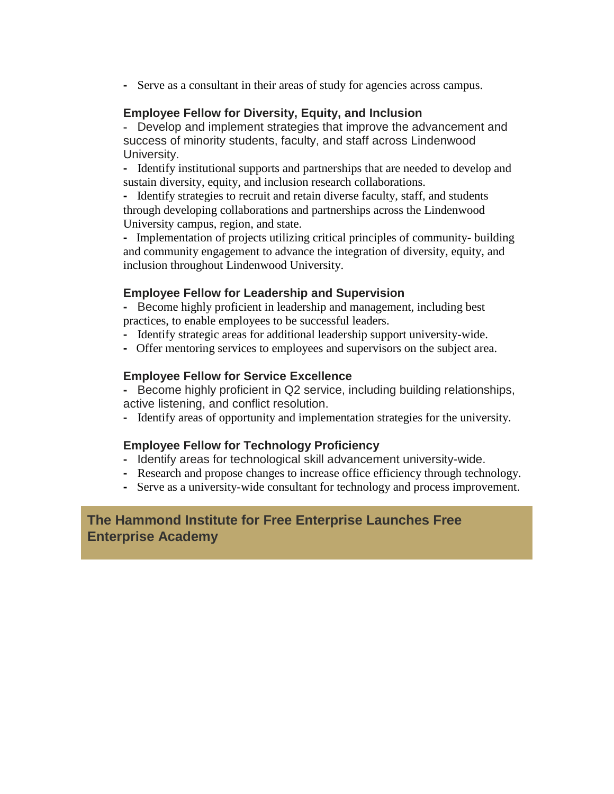**-** Serve as a consultant in their areas of study for agencies across campus.

#### **Employee Fellow for Diversity, Equity, and Inclusion**

**-** Develop and implement strategies that improve the advancement and success of minority students, faculty, and staff across Lindenwood University.

**-** Identify institutional supports and partnerships that are needed to develop and sustain diversity, equity, and inclusion research collaborations.

**-** Identify strategies to recruit and retain diverse faculty, staff, and students through developing collaborations and partnerships across the Lindenwood University campus, region, and state.

**-** Implementation of projects utilizing critical principles of community- building and community engagement to advance the integration of diversity, equity, and inclusion throughout Lindenwood University.

#### **Employee Fellow for Leadership and Supervision**

- **-** Become highly proficient in leadership and management, including best practices, to enable employees to be successful leaders.
- **-** Identify strategic areas for additional leadership support university-wide.
- **-** Offer mentoring services to employees and supervisors on the subject area.

#### **Employee Fellow for Service Excellence**

**-** Become highly proficient in Q2 service, including building relationships, active listening, and conflict resolution.

**-** Identify areas of opportunity and implementation strategies for the university.

#### **Employee Fellow for Technology Proficiency**

- **-** Identify areas for technological skill advancement university-wide.
- Research and propose changes to increase office efficiency through technology.
- Serve as a university-wide consultant for technology and process improvement.

### **The Hammond Institute for Free Enterprise Launches Free Enterprise Academy**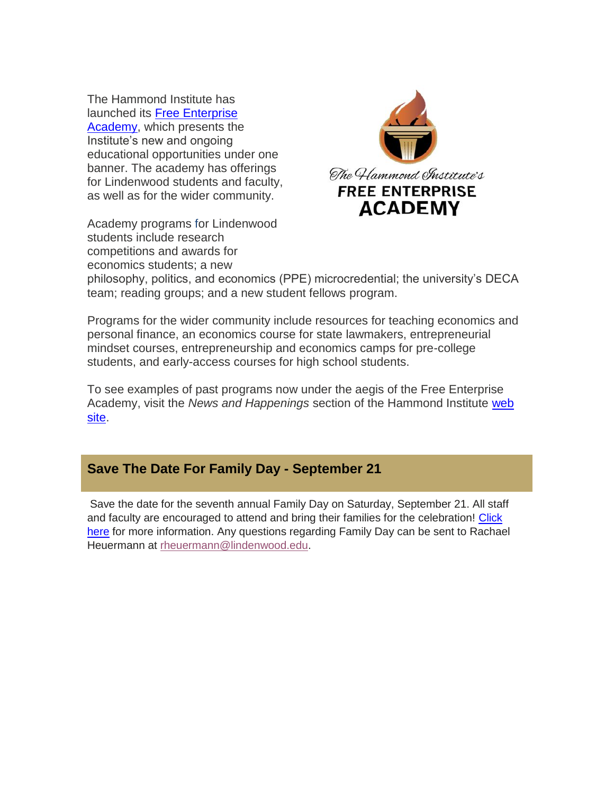The Hammond Institute has launched its Free [Enterprise](https://hes32-ctp.trendmicro.com/wis/clicktime/v1/query?url=https%3a%2f%2fcustapp.marketvolt.com%2flink%2fG9KyLYrTx6%3fCM%3d1355939409%26X%3d70525052&umid=8d34037d-4dc1-4826-a606-266c778ce3c9&auth=bc7ac43e330fa629f0cfb11786c85e83c10d06b8-75c031a310cfc5a223f129c441f3f0c1c4d1c3bf) [Academy,](https://hes32-ctp.trendmicro.com/wis/clicktime/v1/query?url=https%3a%2f%2fcustapp.marketvolt.com%2flink%2fG9KyLYrTx6%3fCM%3d1355939409%26X%3d70525052&umid=8d34037d-4dc1-4826-a606-266c778ce3c9&auth=bc7ac43e330fa629f0cfb11786c85e83c10d06b8-75c031a310cfc5a223f129c441f3f0c1c4d1c3bf) which presents the Institute's new and ongoing educational opportunities under one banner. The academy has offerings for Lindenwood students and faculty, as well as for the wider community.

Academy programs for Lindenwood students include research competitions and awards for economics students; a new



philosophy, politics, and economics (PPE) microcredential; the university's DECA team; reading groups; and a new student fellows program.

Programs for the wider community include resources for teaching economics and personal finance, an economics course for state lawmakers, entrepreneurial mindset courses, entrepreneurship and economics camps for pre-college students, and early-access courses for high school students.

To see examples of past programs now under the aegis of the Free Enterprise Academy, visit the *News and Happenings* section of the Hammond Institute [web](https://hes32-ctp.trendmicro.com/wis/clicktime/v1/query?url=https%3a%2f%2fcustapp.marketvolt.com%2flink%2fUrb3syfrhK%3fCM%3d1355939409%26X%3d70525052&umid=8d34037d-4dc1-4826-a606-266c778ce3c9&auth=bc7ac43e330fa629f0cfb11786c85e83c10d06b8-e827bc6e4c8f9f93f6838d8ba71d0143a3bc7495)  [site.](https://hes32-ctp.trendmicro.com/wis/clicktime/v1/query?url=https%3a%2f%2fcustapp.marketvolt.com%2flink%2fUrb3syfrhK%3fCM%3d1355939409%26X%3d70525052&umid=8d34037d-4dc1-4826-a606-266c778ce3c9&auth=bc7ac43e330fa629f0cfb11786c85e83c10d06b8-e827bc6e4c8f9f93f6838d8ba71d0143a3bc7495)

### **Save The Date For Family Day - September 21**

Save the date for the seventh annual Family Day on Saturday, September 21. All staff and faculty are encouraged to attend and bring their families for the celebration! [Click](https://hes32-ctp.trendmicro.com/wis/clicktime/v1/query?url=https%3a%2f%2fcustapp.marketvolt.com%2flink%2fhpnrffcRhC%3fCM%3d1355939409%26X%3d70525052&umid=8d34037d-4dc1-4826-a606-266c778ce3c9&auth=bc7ac43e330fa629f0cfb11786c85e83c10d06b8-fc7385efe91e4d21e7464ad021ae6659d5a96be7)  [here](https://hes32-ctp.trendmicro.com/wis/clicktime/v1/query?url=https%3a%2f%2fcustapp.marketvolt.com%2flink%2fhpnrffcRhC%3fCM%3d1355939409%26X%3d70525052&umid=8d34037d-4dc1-4826-a606-266c778ce3c9&auth=bc7ac43e330fa629f0cfb11786c85e83c10d06b8-fc7385efe91e4d21e7464ad021ae6659d5a96be7) for more information. Any questions regarding Family Day can be sent to Rachael Heuermann at [rheuermann@lindenwood.edu.](mailto:rheuermann@lindenwood.edu)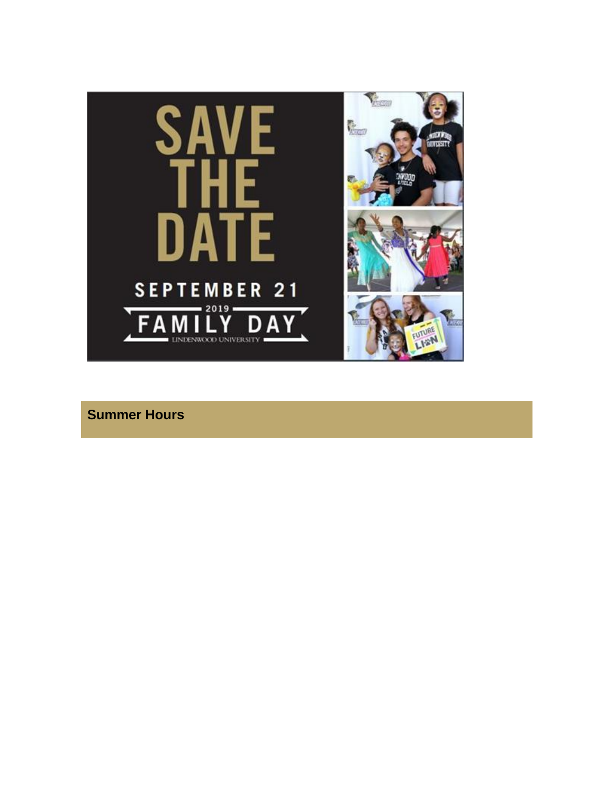

**Summer Hours**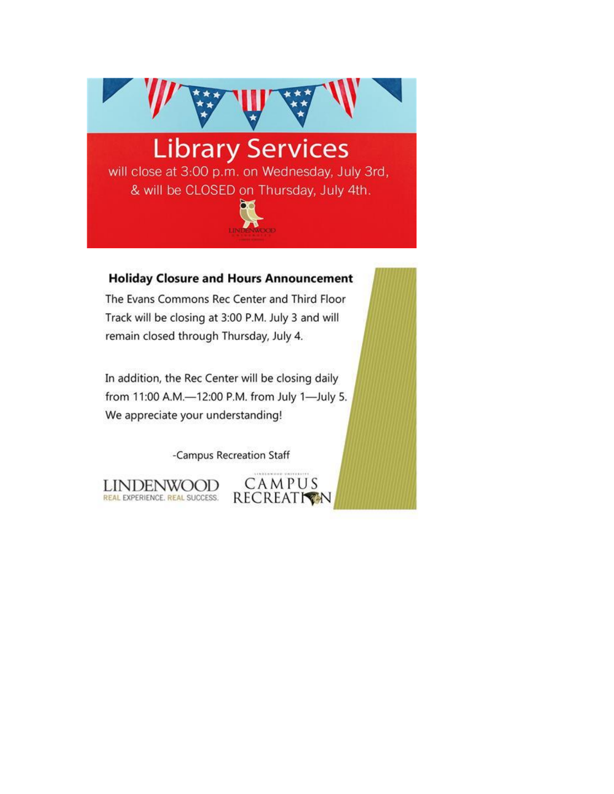

#### **Holiday Closure and Hours Announcement**

The Evans Commons Rec Center and Third Floor Track will be closing at 3:00 P.M. July 3 and will remain closed through Thursday, July 4.

In addition, the Rec Center will be closing daily from 11:00 A.M.-12:00 P.M. from July 1-July 5. We appreciate your understanding!

-Campus Recreation Staff

CAMPUS

**RECREATION** 

**LINDENWOOD** REAL EXPERIENCE. REAL SUCCESS.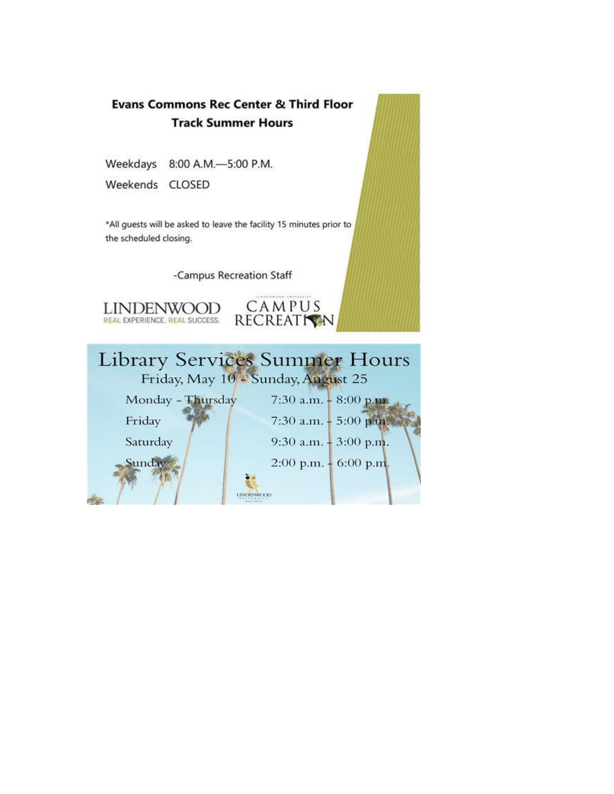

Weekdays 8:00 A.M.-5:00 P.M.

Weekends CLOSED

\*All guests will be asked to leave the facility 15 minutes prior to the scheduled closing.

-Campus Recreation Staff



CAMPUS RECREATION

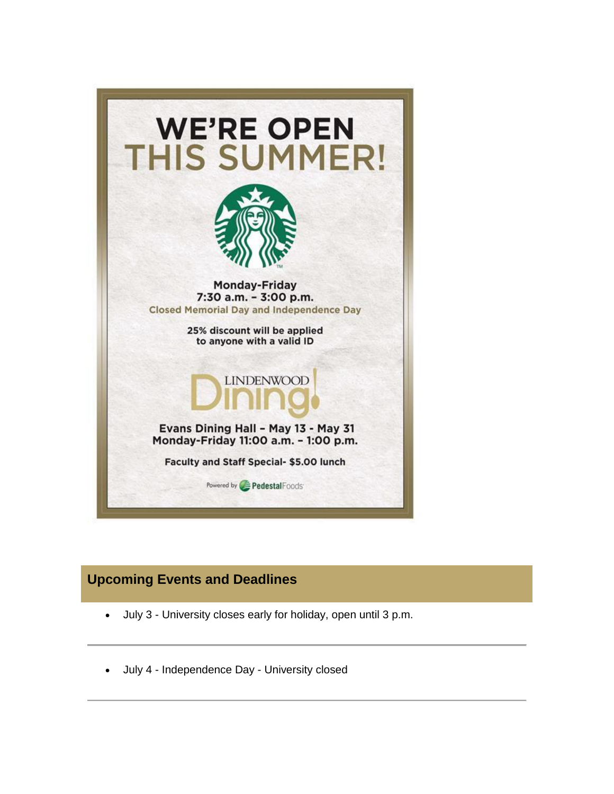

## **Upcoming Events and Deadlines**

- July 3 University closes early for holiday, open until 3 p.m.
- July 4 Independence Day University closed